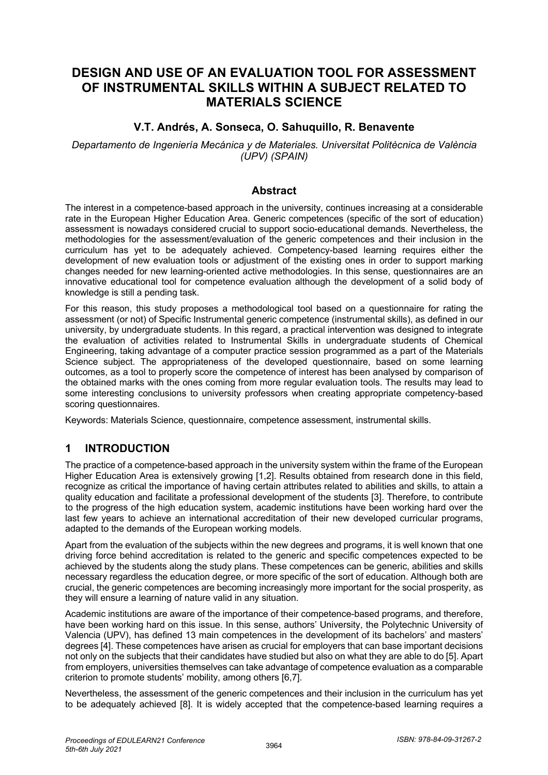# **DESIGN AND USE OF AN EVALUATION TOOL FOR ASSESSMENT OF INSTRUMENTAL SKILLS WITHIN A SUBJECT RELATED TO MATERIALS SCIENCE**

## **V.T. Andrés, A. Sonseca, O. Sahuquillo, R. Benavente**

*Departamento de Ingeniería Mecánica y de Materiales. Universitat Politècnica de València (UPV) (SPAIN)* 

### **Abstract**

The interest in a competence-based approach in the university, continues increasing at a considerable rate in the European Higher Education Area. Generic competences (specific of the sort of education) assessment is nowadays considered crucial to support socio-educational demands. Nevertheless, the methodologies for the assessment/evaluation of the generic competences and their inclusion in the curriculum has yet to be adequately achieved. Competency-based learning requires either the development of new evaluation tools or adjustment of the existing ones in order to support marking changes needed for new learning-oriented active methodologies. In this sense, questionnaires are an innovative educational tool for competence evaluation although the development of a solid body of knowledge is still a pending task.

For this reason, this study proposes a methodological tool based on a questionnaire for rating the assessment (or not) of Specific Instrumental generic competence (instrumental skills), as defined in our university, by undergraduate students. In this regard, a practical intervention was designed to integrate the evaluation of activities related to Instrumental Skills in undergraduate students of Chemical Engineering, taking advantage of a computer practice session programmed as a part of the Materials Science subject. The appropriateness of the developed questionnaire, based on some learning outcomes, as a tool to properly score the competence of interest has been analysed by comparison of the obtained marks with the ones coming from more regular evaluation tools. The results may lead to some interesting conclusions to university professors when creating appropriate competency-based scoring questionnaires.

Keywords: Materials Science, questionnaire, competence assessment, instrumental skills.

# **1 INTRODUCTION**

The practice of a competence-based approach in the university system within the frame of the European Higher Education Area is extensively growing [1,2]. Results obtained from research done in this field, recognize as critical the importance of having certain attributes related to abilities and skills, to attain a quality education and facilitate a professional development of the students [3]. Therefore, to contribute to the progress of the high education system, academic institutions have been working hard over the last few years to achieve an international accreditation of their new developed curricular programs, adapted to the demands of the European working models.

Apart from the evaluation of the subjects within the new degrees and programs, it is well known that one driving force behind accreditation is related to the generic and specific competences expected to be achieved by the students along the study plans. These competences can be generic, abilities and skills necessary regardless the education degree, or more specific of the sort of education. Although both are crucial, the generic competences are becoming increasingly more important for the social prosperity, as they will ensure a learning of nature valid in any situation.

Academic institutions are aware of the importance of their competence-based programs, and therefore, have been working hard on this issue. In this sense, authors' University, the Polytechnic University of Valencia (UPV), has defined 13 main competences in the development of its bachelors' and masters' degrees [4]. These competences have arisen as crucial for employers that can base important decisions not only on the subjects that their candidates have studied but also on what they are able to do [5]. Apart from employers, universities themselves can take advantage of competence evaluation as a comparable criterion to promote students' mobility, among others [6,7].

Nevertheless, the assessment of the generic competences and their inclusion in the curriculum has yet to be adequately achieved [8]. It is widely accepted that the competence-based learning requires a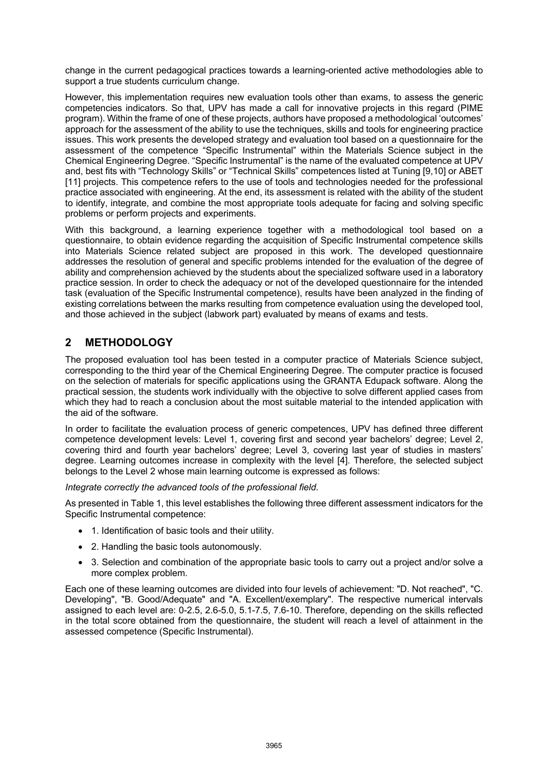change in the current pedagogical practices towards a learning-oriented active methodologies able to support a true students curriculum change.

However, this implementation requires new evaluation tools other than exams, to assess the generic competencies indicators. So that, UPV has made a call for innovative projects in this regard (PIME program). Within the frame of one of these projects, authors have proposed a methodological 'outcomes' approach for the assessment of the ability to use the techniques, skills and tools for engineering practice issues. This work presents the developed strategy and evaluation tool based on a questionnaire for the assessment of the competence "Specific Instrumental" within the Materials Science subject in the Chemical Engineering Degree. "Specific Instrumental" is the name of the evaluated competence at UPV and, best fits with "Technology Skills" or "Technical Skills" competences listed at Tuning [9,10] or ABET [11] projects. This competence refers to the use of tools and technologies needed for the professional practice associated with engineering. At the end, its assessment is related with the ability of the student to identify, integrate, and combine the most appropriate tools adequate for facing and solving specific problems or perform projects and experiments.

With this background, a learning experience together with a methodological tool based on a questionnaire, to obtain evidence regarding the acquisition of Specific Instrumental competence skills into Materials Science related subject are proposed in this work. The developed questionnaire addresses the resolution of general and specific problems intended for the evaluation of the degree of ability and comprehension achieved by the students about the specialized software used in a laboratory practice session. In order to check the adequacy or not of the developed questionnaire for the intended task (evaluation of the Specific Instrumental competence), results have been analyzed in the finding of existing correlations between the marks resulting from competence evaluation using the developed tool, and those achieved in the subject (labwork part) evaluated by means of exams and tests.

## **2 METHODOLOGY**

The proposed evaluation tool has been tested in a computer practice of Materials Science subject, corresponding to the third year of the Chemical Engineering Degree. The computer practice is focused on the selection of materials for specific applications using the GRANTA Edupack software. Along the practical session, the students work individually with the objective to solve different applied cases from which they had to reach a conclusion about the most suitable material to the intended application with the aid of the software.

In order to facilitate the evaluation process of generic competences, UPV has defined three different competence development levels: Level 1, covering first and second year bachelors' degree; Level 2, covering third and fourth year bachelors' degree; Level 3, covering last year of studies in masters' degree. Learning outcomes increase in complexity with the level [4]. Therefore, the selected subject belongs to the Level 2 whose main learning outcome is expressed as follows:

*Integrate correctly the advanced tools of the professional field.*

As presented in Table 1, this level establishes the following three different assessment indicators for the Specific Instrumental competence:

- 1. Identification of basic tools and their utility.
- 2. Handling the basic tools autonomously.
- 3. Selection and combination of the appropriate basic tools to carry out a project and/or solve a more complex problem.

Each one of these learning outcomes are divided into four levels of achievement: "D. Not reached", "C. Developing", "B. Good/Adequate" and "A. Excellent/exemplary". The respective numerical intervals assigned to each level are: 0-2.5, 2.6-5.0, 5.1-7.5, 7.6-10. Therefore, depending on the skills reflected in the total score obtained from the questionnaire, the student will reach a level of attainment in the assessed competence (Specific Instrumental).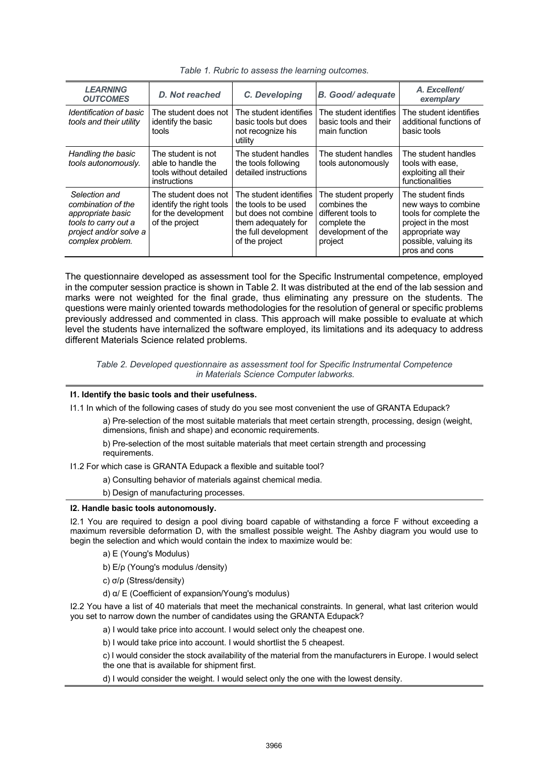| <b>LEARNING</b><br><b>OUTCOMES</b>                                                                                             | D. Not reached                                                                            | C. Developing                                                                                                                           | <b>B.</b> Good/adequate                                                                                     | A. Excellent/<br>exemplary                                                                                                                             |
|--------------------------------------------------------------------------------------------------------------------------------|-------------------------------------------------------------------------------------------|-----------------------------------------------------------------------------------------------------------------------------------------|-------------------------------------------------------------------------------------------------------------|--------------------------------------------------------------------------------------------------------------------------------------------------------|
| Identification of basic<br>tools and their utility                                                                             | The student does not<br>identify the basic<br>tools                                       | The student identifies<br>basic tools but does<br>not recognize his<br>utility                                                          | The student identifies<br>basic tools and their<br>main function                                            | The student identifies<br>additional functions of<br>basic tools                                                                                       |
| Handling the basic<br>tools autonomously.                                                                                      | The student is not<br>able to handle the<br>tools without detailed<br>instructions        | The student handles<br>the tools following<br>detailed instructions                                                                     | The student handles<br>tools autonomously                                                                   | The student handles<br>tools with ease.<br>exploiting all their<br>functionalities                                                                     |
| Selection and<br>combination of the<br>appropriate basic<br>tools to carry out a<br>project and/or solve a<br>complex problem. | The student does not<br>identify the right tools<br>for the development<br>of the project | The student identifies<br>the tools to be used<br>but does not combine<br>them adequately for<br>the full development<br>of the project | The student properly<br>combines the<br>different tools to<br>complete the<br>development of the<br>project | The student finds<br>new ways to combine<br>tools for complete the<br>project in the most<br>appropriate way<br>possible, valuing its<br>pros and cons |

*Table 1. Rubric to assess the learning outcomes.*

The questionnaire developed as assessment tool for the Specific Instrumental competence, employed in the computer session practice is shown in Table 2. It was distributed at the end of the lab session and marks were not weighted for the final grade, thus eliminating any pressure on the students. The questions were mainly oriented towards methodologies for the resolution of general or specific problems previously addressed and commented in class. This approach will make possible to evaluate at which level the students have internalized the software employed, its limitations and its adequacy to address different Materials Science related problems.

*Table 2. Developed questionnaire as assessment tool for Specific Instrumental Competence in Materials Science Computer labworks.* 

#### **I1. Identify the basic tools and their usefulness.**

I1.1 In which of the following cases of study do you see most convenient the use of GRANTA Edupack?

a) Pre-selection of the most suitable materials that meet certain strength, processing, design (weight, dimensions, finish and shape) and economic requirements.

b) Pre-selection of the most suitable materials that meet certain strength and processing requirements.

I1.2 For which case is GRANTA Edupack a flexible and suitable tool?

a) Consulting behavior of materials against chemical media.

b) Design of manufacturing processes.

#### **I2. Handle basic tools autonomously.**

I2.1 You are required to design a pool diving board capable of withstanding a force F without exceeding a maximum reversible deformation D, with the smallest possible weight. The Ashby diagram you would use to begin the selection and which would contain the index to maximize would be:

a) E (Young's Modulus)

b) E/ρ (Young's modulus /density)

c) σ/ρ (Stress/density)

d) α/ E (Coefficient of expansion/Young's modulus)

I2.2 You have a list of 40 materials that meet the mechanical constraints. In general, what last criterion would you set to narrow down the number of candidates using the GRANTA Edupack?

a) I would take price into account. I would select only the cheapest one.

b) I would take price into account. I would shortlist the 5 cheapest.

c) I would consider the stock availability of the material from the manufacturers in Europe. I would select the one that is available for shipment first.

d) I would consider the weight. I would select only the one with the lowest density.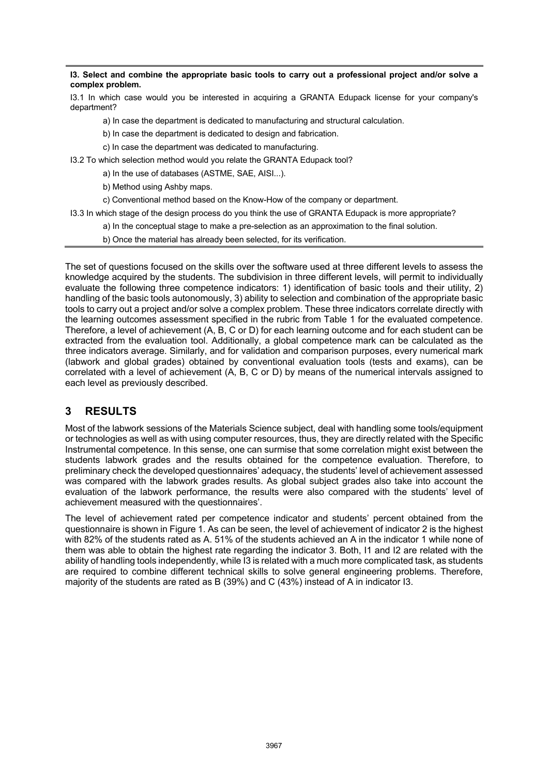**I3. Select and combine the appropriate basic tools to carry out a professional project and/or solve a complex problem.**

I3.1 In which case would you be interested in acquiring a GRANTA Edupack license for your company's department?

a) In case the department is dedicated to manufacturing and structural calculation.

b) In case the department is dedicated to design and fabrication.

c) In case the department was dedicated to manufacturing.

I3.2 To which selection method would you relate the GRANTA Edupack tool?

a) In the use of databases (ASTME, SAE, AISI...).

b) Method using Ashby maps.

c) Conventional method based on the Know-How of the company or department.

I3.3 In which stage of the design process do you think the use of GRANTA Edupack is more appropriate?

a) In the conceptual stage to make a pre-selection as an approximation to the final solution.

b) Once the material has already been selected, for its verification.

The set of questions focused on the skills over the software used at three different levels to assess the knowledge acquired by the students. The subdivision in three different levels, will permit to individually evaluate the following three competence indicators: 1) identification of basic tools and their utility, 2) handling of the basic tools autonomously, 3) ability to selection and combination of the appropriate basic tools to carry out a project and/or solve a complex problem. These three indicators correlate directly with the learning outcomes assessment specified in the rubric from Table 1 for the evaluated competence. Therefore, a level of achievement (A, B, C or D) for each learning outcome and for each student can be extracted from the evaluation tool. Additionally, a global competence mark can be calculated as the three indicators average. Similarly, and for validation and comparison purposes, every numerical mark (labwork and global grades) obtained by conventional evaluation tools (tests and exams), can be correlated with a level of achievement (A, B, C or D) by means of the numerical intervals assigned to each level as previously described.

### **3 RESULTS**

Most of the labwork sessions of the Materials Science subject, deal with handling some tools/equipment or technologies as well as with using computer resources, thus, they are directly related with the Specific Instrumental competence. In this sense, one can surmise that some correlation might exist between the students labwork grades and the results obtained for the competence evaluation. Therefore, to preliminary check the developed questionnaires' adequacy, the students' level of achievement assessed was compared with the labwork grades results. As global subject grades also take into account the evaluation of the labwork performance, the results were also compared with the students' level of achievement measured with the questionnaires'.

The level of achievement rated per competence indicator and students' percent obtained from the questionnaire is shown in Figure 1. As can be seen, the level of achievement of indicator 2 is the highest with 82% of the students rated as A. 51% of the students achieved an A in the indicator 1 while none of them was able to obtain the highest rate regarding the indicator 3. Both, I1 and I2 are related with the ability of handling tools independently, while I3 is related with a much more complicated task, as students are required to combine different technical skills to solve general engineering problems. Therefore, majority of the students are rated as B (39%) and C (43%) instead of A in indicator I3.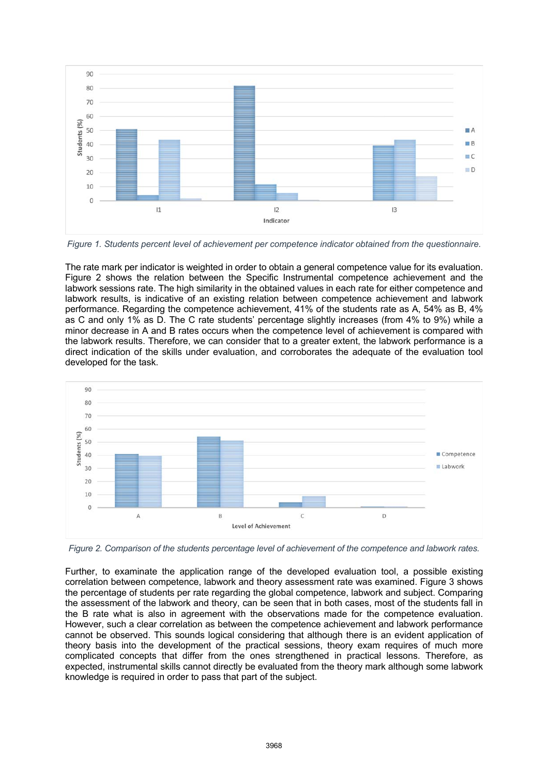

*Figure 1. Students percent level of achievement per competence indicator obtained from the questionnaire.* 

The rate mark per indicator is weighted in order to obtain a general competence value for its evaluation. Figure 2 shows the relation between the Specific Instrumental competence achievement and the labwork sessions rate. The high similarity in the obtained values in each rate for either competence and labwork results, is indicative of an existing relation between competence achievement and labwork performance. Regarding the competence achievement, 41% of the students rate as A, 54% as B, 4% as C and only 1% as D. The C rate students' percentage slightly increases (from 4% to 9%) while a minor decrease in A and B rates occurs when the competence level of achievement is compared with the labwork results. Therefore, we can consider that to a greater extent, the labwork performance is a direct indication of the skills under evaluation, and corroborates the adequate of the evaluation tool developed for the task.



*Figure 2. Comparison of the students percentage level of achievement of the competence and labwork rates.*

Further, to examinate the application range of the developed evaluation tool, a possible existing correlation between competence, labwork and theory assessment rate was examined. Figure 3 shows the percentage of students per rate regarding the global competence, labwork and subject. Comparing the assessment of the labwork and theory, can be seen that in both cases, most of the students fall in the B rate what is also in agreement with the observations made for the competence evaluation. However, such a clear correlation as between the competence achievement and labwork performance cannot be observed. This sounds logical considering that although there is an evident application of theory basis into the development of the practical sessions, theory exam requires of much more complicated concepts that differ from the ones strengthened in practical lessons. Therefore, as expected, instrumental skills cannot directly be evaluated from the theory mark although some labwork knowledge is required in order to pass that part of the subject.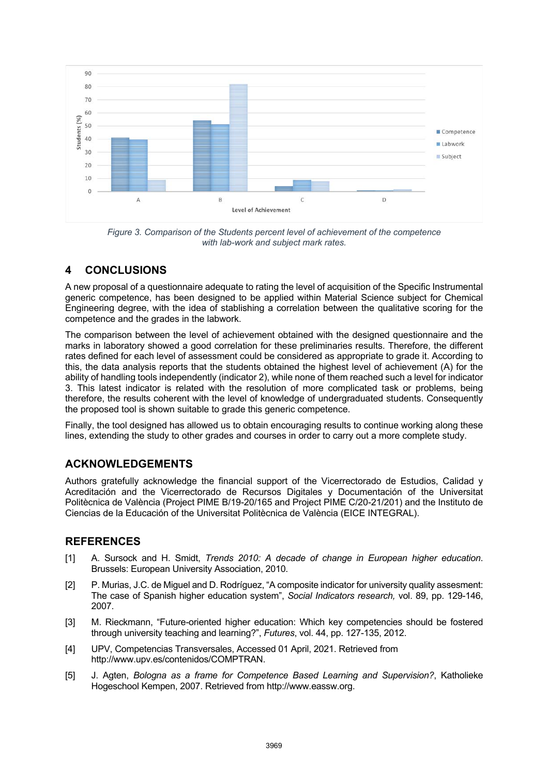

*Figure 3. Comparison of the Students percent level of achievement of the competence with lab-work and subject mark rates.*

# **4 CONCLUSIONS**

A new proposal of a questionnaire adequate to rating the level of acquisition of the Specific Instrumental generic competence, has been designed to be applied within Material Science subject for Chemical Engineering degree, with the idea of stablishing a correlation between the qualitative scoring for the competence and the grades in the labwork.

The comparison between the level of achievement obtained with the designed questionnaire and the marks in laboratory showed a good correlation for these preliminaries results. Therefore, the different rates defined for each level of assessment could be considered as appropriate to grade it. According to this, the data analysis reports that the students obtained the highest level of achievement (A) for the ability of handling tools independently (indicator 2), while none of them reached such a level for indicator 3. This latest indicator is related with the resolution of more complicated task or problems, being therefore, the results coherent with the level of knowledge of undergraduated students. Consequently the proposed tool is shown suitable to grade this generic competence.

Finally, the tool designed has allowed us to obtain encouraging results to continue working along these lines, extending the study to other grades and courses in order to carry out a more complete study.

# **ACKNOWLEDGEMENTS**

Authors gratefully acknowledge the financial support of the Vicerrectorado de Estudios, Calidad y Acreditación and the Vicerrectorado de Recursos Digitales y Documentación of the Universitat Politècnica de València (Project PIME B/19-20/165 and Project PIME C/20-21/201) and the Instituto de Ciencias de la Educación of the Universitat Politècnica de València (EICE INTEGRAL).

### **REFERENCES**

- [1] A. Sursock and H. Smidt, *Trends 2010: A decade of change in European higher education*. Brussels: European University Association, 2010.
- [2] P. Murias, J.C. de Miguel and D. Rodríguez, "A composite indicator for university quality assesment: The case of Spanish higher education system", *Social Indicators research,* vol. 89, pp. 129-146, 2007.
- [3] M. Rieckmann, "Future-oriented higher education: Which key competencies should be fostered through university teaching and learning?", *Futures*, vol. 44, pp. 127-135, 2012.
- [4] UPV, Competencias Transversales, Accessed 01 April, 2021. Retrieved from http://www.upv.es/contenidos/COMPTRAN.
- [5] J. Agten, *Bologna as a frame for Competence Based Learning and Supervision?*, Katholieke Hogeschool Kempen, 2007. Retrieved from http://www.eassw.org.